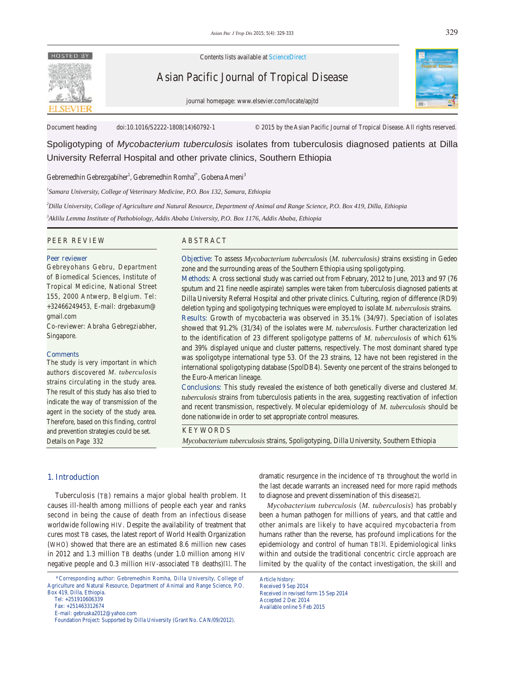

Contents lists available at ScienceDirect

Asian Pacific Journal of Tropical Disease





Document heading doi:10.1016/S2222-1808(14)60792-1 © 2015 by the Asian Pacific Journal of Tropical Disease. All rights reserved.

Spoligotyping of *Mycobacterium tuberculosis* isolates from tuberculosis diagnosed patients at Dilla University Referral Hospital and other private clinics, Southern Ethiopia

Gebremedhin Gebrezgabiher<sup>1</sup>, Gebremedhin Romha<sup>2\*</sup>, Gobena Ameni<sup>3</sup>

*1 Samara University, College of Veterinary Medicine, P.O. Box 132, Samara, Ethiopia* 

*2 Dilla University, College of Agriculture and Natural Resource, Department of Animal and Range Science, P.O. Box 419, Dilla, Ethiopia* 

*3 Aklilu Lemma Institute of Pathobiology, Addis Ababa University, P.O. Box 1176, Addis Ababa, Ethiopia*

#### PEER REVIEW ABSTRACT

#### **Peer reviewer**

Gebreyohans Gebru, Department of Biomedical Sciences, Institute of Tropical Medicine, National Street 155, 2000 Antwerp, Belgium. Tel: +32466249453, E-mail: drgebaxum@ gmail.com

Co-reviewer: Abraha Gebregziabher, Singapore.

#### **Comments**

The study is very important in which authors discovered *M. tuberculosis* strains circulating in the study area. The result of this study has also tried to indicate the way of transmission of the agent in the society of the study area. Therefore, based on this finding, control and prevention strategies could be set. Details on Page 332

**Objective:** To assess *Mycobacterium tuberculosis* (*M. tuberculosis)* strains exsisting in Gedeo zone and the surrounding areas of the Southern Ethiopia using spoligotyping.

**Methods:** A cross sectional study was carried out from February, 2012 to June, 2013 and 97 (76 sputum and 21 fine needle aspirate) samples were taken from tuberculosis diagnosed patients at Dilla University Referral Hospital and other private clinics. Culturing, region of difference (RD9) deletion typing and spoligotyping techniques were employed to isolate *M. tuberculosis* strains.

**Results:** Growth of mycobacteria was observed in 35.1% (34/97). Speciation of isolates showed that 91.2% (31/34) of the isolates were *M. tuberculosis*. Further characterization led to the identification of 23 different spoligotype patterns of *M. tuberculosis* of which 61% and 39% displayed unique and cluster patterns, respectively. The most dominant shared type was spoligotype international type 53. Of the 23 strains, 12 have not been registered in the international spoligotyping database (SpolDB4). Seventy one percent of the strains belonged to the Euro-American lineage.

**Conclusions:** This study revealed the existence of both genetically diverse and clustered *M. tuberculosis* strains from tuberculosis patients in the area, suggesting reactivation of infection and recent transmission, respectively. Molecular epidemiology of *M. tuberculosis* should be done nationwide in order to set appropriate control measures.

#### KEYWORDS

*Mycobacterium tuberculosis* strains, Spoligotyping, Dilla University, Southern Ethiopia

## **1. Introduction**

 Tuberculosis (TB) remains a major global health problem. It causes ill-health among millions of people each year and ranks second in being the cause of death from an infectious disease worldwide following HIV. Despite the availability of treatment that cures most TB cases, the latest report of World Health Organization (WHO) showed that there are an estimated 8.6 million new cases in 2012 and 1.3 million TB deaths (under 1.0 million among HIV negative people and 0.3 million HIV-associated TB deaths)[1]. The

 \*Corresponding author: Gebremedhin Romha, Dilla University, College of Agriculture and Natural Resource, Department of Animal and Range Science, P.O. Box 419, Dilla, Ethiopia.

dramatic resurgence in the incidence of TB throughout the world in the last decade warrants an increased need for more rapid methods to diagnose and prevent dissemination of this disease[2].

 *Mycobacterium tuberculosis* (*M. tuberculosis*) has probably been a human pathogen for millions of years, and that cattle and other animals are likely to have acquired mycobacteria from humans rather than the reverse, has profound implications for the epidemiology and control of human TB[3]. Epidemiological links within and outside the traditional concentric circle approach are limited by the quality of the contact investigation, the skill and

Article history: Received 9 Sep 2014 Received in revised form 15 Sep 2014 Accepted 2 Dec 2014 Available online 5 Feb 2015

Tel: +251910606339

Fax: +251463312674

E-mail: gebruska2012@yahoo.com

Foundation Project: Supported by Dilla University (Grant No. CAN/09/2012).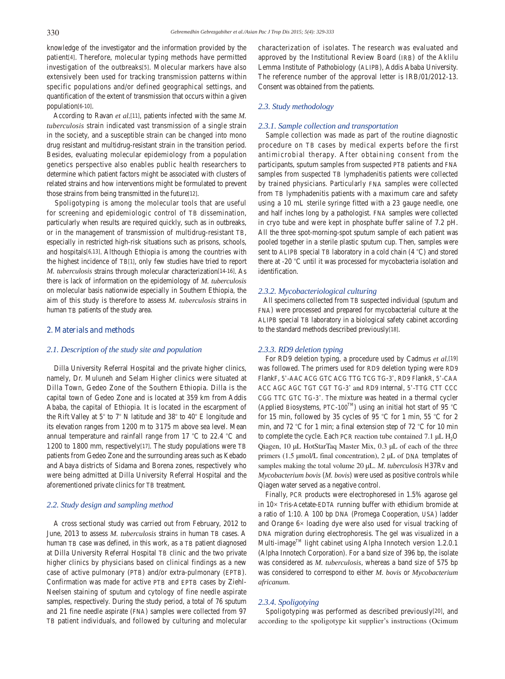knowledge of the investigator and the information provided by the patient[4]. Therefore, molecular typing methods have permitted investigation of the outbreaks[5]. Molecular markers have also extensively been used for tracking transmission patterns within specific populations and/or defined geographical settings, and quantification of the extent of transmission that occurs within a given population[6-10].

 According to Ravan *et al.*[11], patients infected with the same *M. tuberculosis* strain indicated vast transmission of a single strain in the society, and a susceptible strain can be changed into mono drug resistant and multidrug-resistant strain in the transition period. Besides, evaluating molecular epidemiology from a population genetics perspective also enables public health researchers to determine which patient factors might be associated with clusters of related strains and how interventions might be formulated to prevent those strains from being transmitted in the future[12].

 Spoligotyping is among the molecular tools that are useful for screening and epidemiologic control of TB dissemination, particularly when results are required quickly, such as in outbreaks, or in the management of transmission of multidrug-resistant TB, especially in restricted high-risk situations such as prisons, schools, and hospitals[6,13]. Although Ethiopia is among the countries with the highest incidence of TB[1], only few studies have tried to report *M. tuberculosis* strains through molecular characterization[14-16]. As there is lack of information on the epidemiology of *M. tuberculosis* on molecular basis nationwide especially in Southern Ethiopia, the aim of this study is therefore to assess *M. tuberculosis* strains in human TB patients of the study area.

# **2. Materials and methods**

# *2.1. Description of the study site and population*

 Dilla University Referral Hospital and the private higher clinics, namely, Dr. Muluneh and Selam Higher clinics were situated at Dilla Town, Gedeo Zone of the Southern Ethiopia. Dilla is the capital town of Gedeo Zone and is located at 359 km from Addis Ababa, the capital of Ethiopia. It is located in the escarpment of the Rift Valley at 5° to 7° N latitude and 38° to 40° E longitude and its elevation ranges from 1200 m to 3175 m above sea level. Mean annual temperature and rainfall range from 17 °C to 22.4 °C and 1200 to 1800 mm, respectively[17]. The study populations were TB patients from Gedeo Zone and the surrounding areas such as Kebado and Abaya districts of Sidama and Borena zones, respectively who were being admitted at Dilla University Referral Hospital and the aforementioned private clinics for TB treatment.

#### *2.2. Study design and sampling method*

 A cross sectional study was carried out from February, 2012 to June, 2013 to assess *M. tuberculosis* strains in human TB cases. A human TB case was defined, in this work, as a TB patient diagnosed at Dilla University Referral Hospital TB clinic and the two private higher clinics by physicians based on clinical findings as a new case of active pulmonary (PTB) and/or extra-pulmonary (EPTB). Confirmation was made for active PTB and EPTB cases by Ziehl-Neelsen staining of sputum and cytology of fine needle aspirate samples, respectively. During the study period, a total of 76 sputum and 21 fine needle aspirate (FNA) samples were collected from 97 TB patient individuals, and followed by culturing and molecular characterization of isolates. The research was evaluated and approved by the Institutional Review Board (IRB) of the Aklilu Lemma Institute of Pathobiology (ALIPB), Addis Ababa University. The reference number of the approval letter is IRB/01/2012-13. Consent was obtained from the patients.

# *2.3. Study methodology*

#### *2.3.1. Sample collection and transportation*

 Sample collection was made as part of the routine diagnostic procedure on TB cases by medical experts before the first antimicrobial therapy. After obtaining consent from the participants, sputum samples from suspected PTB patients and FNA samples from suspected TB lymphadenitis patients were collected by trained physicians. Particularly FNA samples were collected from TB lymphadenitis patients with a maximum care and safety using a 10 mL sterile syringe fitted with a 23 gauge needle, one and half inches long by a pathologist. FNA samples were collected in cryo tube and were kept in phosphate buffer saline of 7.2 pH. All the three spot-morning-spot sputum sample of each patient was pooled together in a sterile plastic sputum cup. Then, samples were sent to ALIPB special TB laboratory in a cold chain (4 °C) and stored there at -20 °C until it was processed for mycobacteria isolation and identification.

## *2.3.2. Mycobacteriological culturing*

 All specimens collected from TB suspected individual (sputum and FNA) were processed and prepared for mycobacterial culture at the ALIPB special TB laboratory in a biological safety cabinet according to the standard methods described previously[18].

# *2.3.3. RD9 deletion typing*

 For RD9 deletion typing, a procedure used by Cadmus *et al.*[19] was followed. The primers used for RD9 deletion typing were RD9 FlankF, 5'-AAC ACG GTC ACG TTG TCG TG-3', RD9 FlankR, 5'-CAA ACC AGC AGC TGT CGT TG-3' and RD9 Internal, 5'-TTG CTT CCC CGG TTC GTC TG-3'. The mixture was heated in a thermal cycler (Applied Biosystems, PTC-100<sup>TM</sup>) using an initial hot start of 95 °C for 15 min, followed by 35 cycles of 95 °C for 1 min, 55 °C for 2 min, and 72 °C for 1 min; a final extension step of 72 °C for 10 min to complete the cycle. Each PCR reaction tube contained 7.1 μL  $H_2O$ Qiagen, 10 μL HotStarTaq Master Mix, 0.3 μL of each of the three primers (1.5 μmol/L final concentration), 2 μL of DNA templates of samples making the total volume 20 μL. *M. tuberculosis* H37Rv and *Mycobacterium bovis* (*M. bovis*) were used as positive controls while Qiagen water served as a negative control.

 Finally, PCR products were electrophoresed in 1.5% agarose gel in 10× Tris-Acetate-EDTA running buffer with ethidium bromide at a ratio of 1:10. A 100 bp DNA (Promega Cooperation, USA) ladder and Orange 6× loading dye were also used for visual tracking of DNA migration during electrophoresis. The gel was visualized in a Multi-image<sup>TM</sup> light cabinet using Alpha Innotech version 1.2.0.1 (Alpha Innotech Corporation). For a band size of 396 bp, the isolate was considered as *M. tuberculosis*, whereas a band size of 575 bp was considered to correspond to either *M. bovis* or *Mycobacterium africanum*.

# *2.3.4. Spoligotying*

 Spoligotyping was performed as described previously[20], and according to the spoligotype kit supplier's instructions (Ocimum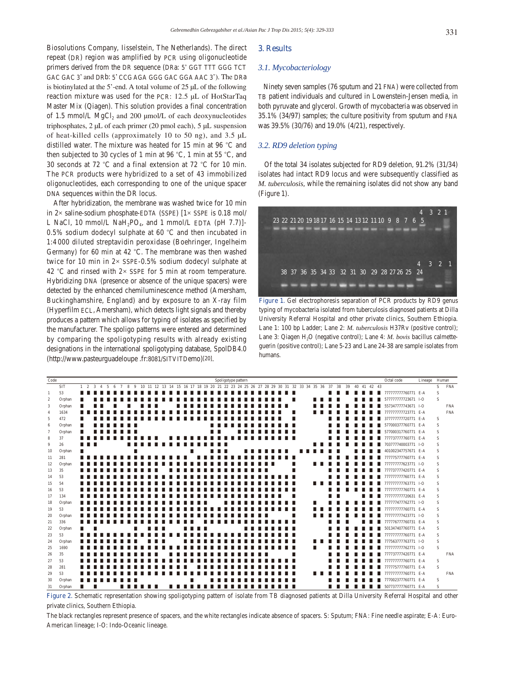Biosolutions Company, Iisselstein, The Netherlands). The direct repeat (DR) region was amplified by PCR using oligonucleotide primers derived from the DR sequence (DRa: 5' GGT TTT GGG TCT GAC GAC 3' and DRb: 5' CCG AGA GGG GAC GGA AAC 3'). The DRa is biotinylated at the 5'-end. A total volume of 25 μL of the following reaction mixture was used for the PCR: 12.5 μL of HotStarTaq Master Mix (Qiagen). This solution provides a final concentration of 1.5 mmol/L MgCl<sub>2</sub> and 200 μmol/L of each deoxynucleotides triphosphates, 2 μL of each primer (20 pmol each), 5 μL suspension of heat-killed cells (approximately 10 to 50 ng), and 3.5 μL distilled water. The mixture was heated for 15 min at 96 °C and then subjected to 30 cycles of 1 min at 96 °C, 1 min at 55 °C, and 30 seconds at 72 °C and a final extension at 72 °C for 10 min. The PCR products were hybridized to a set of 43 immobilized oligonucleotides, each corresponding to one of the unique spacer DNA sequences within the DR locus.

 After hybridization, the membrane was washed twice for 10 min in  $2 \times$  saline-sodium phosphate-EDTA (SSPE)  $[1 \times$  SSPE is 0.18 mol/ L NaCl, 10 mmol/L NaH<sub>2</sub>PO<sub>4</sub>, and 1 mmol/L EDTA (pH 7.7)]-0.5% sodium dodecyl sulphate at 60 °C and then incubated in 1:4 000 diluted streptavidin peroxidase (Boehringer, Ingelheim Germany) for 60 min at 42 °C. The membrane was then washed twice for 10 min in 2× SSPE-0.5% sodium dodecyl sulphate at 42 °C and rinsed with  $2 \times$  SSPE for 5 min at room temperature. Hybridizing DNA (presence or absence of the unique spacers) were detected by the enhanced chemiluminescence method (Amersham, Buckinghamshire, England) and by exposure to an X-ray film (Hyperfilm ECL, Amersham), which detects light signals and thereby produces a pattern which allows for typing of isolates as specified by the manufacturer. The spoligo patterns were entered and determined by comparing the spoligotyping results with already existing designations in the international spoligotyping database, SpolDB4.0 (http://www.pasteurguadeloupe .fr:8081/SITVITDemo)[20].

## **3. Results**

# *3.1. Mycobacteriology*

 Ninety seven samples (76 sputum and 21 FNA) were collected from TB patient individuals and cultured in Lowenstein-Jensen media, in both pyruvate and glycerol. Growth of mycobacteria was observed in 35.1% (34/97) samples; the culture positivity from sputum and FNA was 39.5% (30/76) and 19.0% (4/21), respectively.

# *3.2. RD9 deletion typing*

 Of the total 34 isolates subjected for RD9 deletion, 91.2% (31/34) isolates had intact RD9 locus and were subsequently classified as *M. tuberculosis*, while the remaining isolates did not show any band (Figure 1).



**Figure 1.** Gel electrophoresis separation of PCR products by RD9 genus typing of mycobacteria isolated from tuberculosis diagnosed patients at Dilla University Referral Hospital and other private clinics, Southern Ethiopia. Lane 1: 100 bp Ladder; Lane 2: *M. tuberculosis* H37Rv (positive control); Lane 3: Qiagen H<sub>2</sub>O (negative control); Lane 4: *M. bovis* bacillus calmetteguerin (positive control); Lane 5-23 and Lane 24-38 are sample isolates from humans.

| Code           |            |                 |  |              |        |    |   |  |  |  |  |   | Spoligotype pattern |  |  |  |  |  |  |  |                                                                                                       |  |  | Octal code |                     | Lineage Human |   |            |
|----------------|------------|-----------------|--|--------------|--------|----|---|--|--|--|--|---|---------------------|--|--|--|--|--|--|--|-------------------------------------------------------------------------------------------------------|--|--|------------|---------------------|---------------|---|------------|
|                | <b>SIT</b> | $1 \t2 \t3 \t4$ |  | $\sim$<br>-6 | $\tau$ | 89 |   |  |  |  |  |   |                     |  |  |  |  |  |  |  | 10 11 12 13 14 15 16 17 18 19 20 21 22 23 24 25 26 27 28 29 30 31 32 33 34 35 36 37 38 39 40 41 42 43 |  |  |            |                     |               |   | S FNA      |
| -1             | 53         |                 |  |              |        |    |   |  |  |  |  |   |                     |  |  |  |  |  |  |  |                                                                                                       |  |  |            | 77777777760771 E-A  |               | S |            |
| 2              | Orphan     |                 |  |              |        |    |   |  |  |  |  |   |                     |  |  |  |  |  |  |  |                                                                                                       |  |  |            | 577777777723671 I-O |               | S |            |
| 3              | Orphan     |                 |  |              |        |    |   |  |  |  |  |   |                     |  |  |  |  |  |  |  |                                                                                                       |  |  |            | 557347777743671 I-O |               |   | <b>FNA</b> |
| $\overline{4}$ | 1634       |                 |  |              |        |    |   |  |  |  |  |   |                     |  |  |  |  |  |  |  |                                                                                                       |  |  |            | 77777777723771 E-A  |               |   | <b>FNA</b> |
| 5              | 472        |                 |  |              |        |    |   |  |  |  |  |   |                     |  |  |  |  |  |  |  |                                                                                                       |  |  |            | 377777777720771 E-A |               | S |            |
| 6              | Orphan     |                 |  |              |        |    |   |  |  |  |  |   |                     |  |  |  |  |  |  |  |                                                                                                       |  |  |            | 577000377760771 E-A |               | S |            |
| $\tau$         | Orphan     |                 |  |              |        |    |   |  |  |  |  |   |                     |  |  |  |  |  |  |  |                                                                                                       |  |  |            | 577000317760771 E-A |               | S |            |
| 8              | 37         |                 |  |              |        |    |   |  |  |  |  |   |                     |  |  |  |  |  |  |  |                                                                                                       |  |  |            | 777737777760771 E-A |               | S |            |
| 9              | 26         |                 |  |              |        |    |   |  |  |  |  |   |                     |  |  |  |  |  |  |  |                                                                                                       |  |  |            | 703777740003771 I-O |               | S |            |
| 10             | Orphan     |                 |  |              |        |    |   |  |  |  |  |   |                     |  |  |  |  |  |  |  |                                                                                                       |  |  |            | 401002347757671 E-A |               | S |            |
| 11             | 281        |                 |  |              |        |    |   |  |  |  |  |   |                     |  |  |  |  |  |  |  |                                                                                                       |  |  |            | 777775777760771 E-A |               | S |            |
| 12             | Orphan     |                 |  |              |        |    |   |  |  |  |  |   |                     |  |  |  |  |  |  |  |                                                                                                       |  |  |            | 77777777623771 I-O  |               | S |            |
| 13             | 35         |                 |  |              |        |    |   |  |  |  |  |   |                     |  |  |  |  |  |  |  |                                                                                                       |  |  |            | 777737777420771 E-A |               | S |            |
| 14             | 53         |                 |  |              |        |    |   |  |  |  |  |   |                     |  |  |  |  |  |  |  |                                                                                                       |  |  |            | 77777777760771 E-A  |               | S |            |
| 15             | 54         |                 |  |              |        |    |   |  |  |  |  |   |                     |  |  |  |  |  |  |  |                                                                                                       |  |  |            | 77777777763771 I-O  |               | S |            |
| 16             | 53         |                 |  |              |        |    |   |  |  |  |  |   |                     |  |  |  |  |  |  |  |                                                                                                       |  |  |            | 77777777760771 E-A  |               | S |            |
| 17             | 134        |                 |  |              |        |    |   |  |  |  |  |   |                     |  |  |  |  |  |  |  |                                                                                                       |  |  |            | 77777777720631 E-A  |               | S |            |
| 18             | Orphan     |                 |  |              |        |    |   |  |  |  |  |   |                     |  |  |  |  |  |  |  |                                                                                                       |  |  |            | 77777477762771 I-O  |               | S |            |
| 19             | 53         |                 |  |              |        |    |   |  |  |  |  |   |                     |  |  |  |  |  |  |  |                                                                                                       |  |  |            | 77777777760771 E-A  |               | S |            |
| 20             | Orphan     |                 |  |              |        |    |   |  |  |  |  |   |                     |  |  |  |  |  |  |  |                                                                                                       |  |  |            | 77777777423771 I-O  |               | S |            |
| 21             | 336        |                 |  |              |        |    |   |  |  |  |  |   |                     |  |  |  |  |  |  |  |                                                                                                       |  |  |            | 777776777760731 E-A |               | S |            |
| 22             | Orphan     |                 |  |              |        |    |   |  |  |  |  |   |                     |  |  |  |  |  |  |  |                                                                                                       |  |  |            | 501347407760771 E-A |               | S |            |
| 23             | 53         |                 |  |              |        |    |   |  |  |  |  |   |                     |  |  |  |  |  |  |  |                                                                                                       |  |  |            | 77777777760771 E-A  |               | S |            |
| 24             | Orphan     |                 |  |              |        |    |   |  |  |  |  |   |                     |  |  |  |  |  |  |  |                                                                                                       |  |  |            | 777563777763771 I-O |               | S |            |
| 25             | 1690       |                 |  |              |        |    |   |  |  |  |  |   |                     |  |  |  |  |  |  |  |                                                                                                       |  |  |            | 777777777762771 I-O |               | S |            |
| 26             | 35         |                 |  |              |        |    |   |  |  |  |  |   |                     |  |  |  |  |  |  |  |                                                                                                       |  |  |            | 777737777420771 E-A |               |   | <b>FNA</b> |
| 27             | 53         |                 |  |              |        |    |   |  |  |  |  |   |                     |  |  |  |  |  |  |  |                                                                                                       |  |  |            | 77777777760771 E-A  |               | S |            |
| 28             | 281        |                 |  |              |        |    |   |  |  |  |  |   |                     |  |  |  |  |  |  |  |                                                                                                       |  |  |            | 777775777760771 E-A |               | S |            |
| 29             | 53         |                 |  |              |        |    |   |  |  |  |  |   |                     |  |  |  |  |  |  |  |                                                                                                       |  |  |            | 77777777760771 E-A  |               |   | <b>FNA</b> |
| 30             | Orphan     |                 |  |              |        |    |   |  |  |  |  |   |                     |  |  |  |  |  |  |  |                                                                                                       |  |  |            | 777002377760771 E-A |               | S |            |
| 31             | Orphan     |                 |  |              |        | .  | . |  |  |  |  | . | .                   |  |  |  |  |  |  |  |                                                                                                       |  |  |            | 507737777760771 E-A |               | S |            |

**Figure 2.** Schematic representation showing spoligotyping pattern of isolate from TB diagnosed patients at Dilla University Referral Hospital and other private clinics, Southern Ethiopia.

The black rectangles represent presence of spacers, and the white rectangles indicate absence of spacers. S: Sputum; FNA: Fine needle aspirate; E-A: Euro-American lineage; I-O: Indo-Oceanic lineage.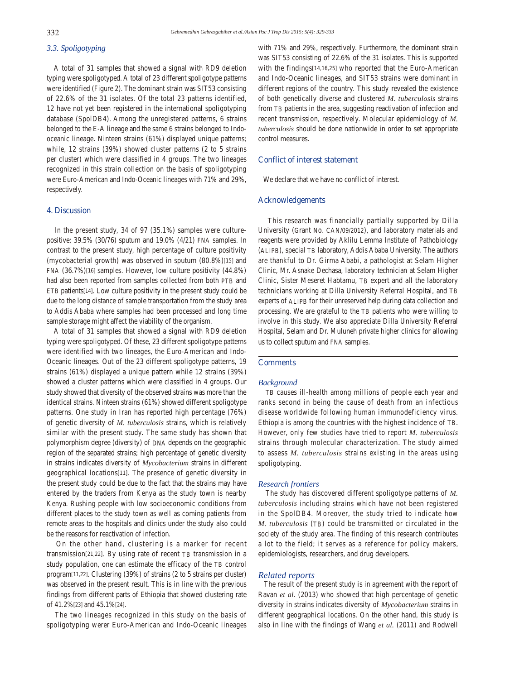# *3.3. Spoligotyping*

 A total of 31 samples that showed a signal with RD9 deletion typing were spoligotyped. A total of 23 different spoligotype patterns were identified (Figure 2). The dominant strain was SIT53 consisting of 22.6% of the 31 isolates. Of the total 23 patterns identified, 12 have not yet been registered in the international spoligotyping database (SpolDB4). Among the unregistered patterns, 6 strains belonged to the E-A lineage and the same 6 strains belonged to Indooceanic lineage. Ninteen strains (61%) displayed unique patterns; while, 12 strains (39%) showed cluster patterns (2 to 5 strains per cluster) which were classified in 4 groups. The two lineages recognized in this strain collection on the basis of spoligotyping were Euro-American and Indo-Oceanic lineages with 71% and 29%, respectively.

# **4. Discussion**

 In the present study, 34 of 97 (35.1%) samples were culturepositive; 39.5% (30/76) sputum and 19.0% (4/21) FNA samples. In contrast to the present study, high percentage of culture positivity (mycobacterial growth) was observed in sputum (80.8%)[15] and FNA (36.7%)[16] samples. However, low culture positivity (44.8%) had also been reported from samples collected from both PTB and ETB patients[14]. Low culture positivity in the present study could be due to the long distance of sample transportation from the study area to Addis Ababa where samples had been processed and long time sample storage might affect the viability of the organism.

 A total of 31 samples that showed a signal with RD9 deletion typing were spoligotyped. Of these, 23 different spoligotype patterns were identified with two lineages, the Euro-American and Indo-Oceanic lineages. Out of the 23 different spoligotype patterns, 19 strains (61%) displayed a unique pattern while 12 strains (39%) showed a cluster patterns which were classified in 4 groups. Our study showed that diversity of the observed strains was more than the identical strains. Ninteen strains (61%) showed different spoligotype patterns. One study in Iran has reported high percentage (76%) of genetic diversity of *M. tuberculosis* strains, which is relatively similar with the present study. The same study has shown that polymorphism degree (diversity) of DNA depends on the geographic region of the separated strains; high percentage of genetic diversity in strains indicates diversity of *Mycobacterium* strains in different geographical locations[11]. The presence of genetic diversity in the present study could be due to the fact that the strains may have entered by the traders from Kenya as the study town is nearby Kenya. Rushing people with low socioeconomic conditions from different places to the study town as well as coming patients from remote areas to the hospitals and clinics under the study also could be the reasons for reactivation of infection.

 On the other hand, clustering is a marker for recent transmission[21,22]. By using rate of recent TB transmission in a study population, one can estimate the efficacy of the TB control program[11,22]. Clustering (39%) of strains (2 to 5 strains per cluster) was observed in the present result. This is in line with the previous findings from different parts of Ethiopia that showed clustering rate of 41.2%[23] and 45.1%[24].

 The two lineages recognized in this study on the basis of spoligotyping werer Euro-American and Indo-Oceanic lineages with 71% and 29%, respectively. Furthermore, the dominant strain was SIT53 consisting of 22.6% of the 31 isolates. This is supported with the findings[14,16,25] who reported that the Euro-American and Indo-Oceanic lineages, and SIT53 strains were dominant in different regions of the country. This study revealed the existence of both genetically diverse and clustered *M. tuberculosis* strains from TB patients in the area, suggesting reactivation of infection and recent transmission, respectively. Molecular epidemiology of *M. tuberculosis* should be done nationwide in order to set appropriate control measures.

## **Conflict of interest statement**

We declare that we have no conflict of interest.

# **Acknowledgements**

 This research was financially partially supported by Dilla University (Grant No. CAN/09/2012), and laboratory materials and reagents were provided by Aklilu Lemma Institute of Pathobiology (ALIPB), special TB laboratory, Addis Ababa University. The authors are thankful to Dr. Girma Ababi, a pathologist at Selam Higher Clinic, Mr. Asnake Dechasa, laboratory technician at Selam Higher Clinic, Sister Meseret Habtamu, TB expert and all the laboratory technicians working at Dilla University Referral Hospital, and TB experts of ALIPB for their unreserved help during data collection and processing. We are grateful to the TB patients who were willing to involve in this study. We also appreciate Dilla University Referral Hospital, Selam and Dr. Muluneh private higher clinics for allowing us to collect sputum and FNA samples.

# **Comments**

#### *Background*

 TB causes ill-health among millions of people each year and ranks second in being the cause of death from an infectious disease worldwide following human immunodeficiency virus. Ethiopia is among the countries with the highest incidence of TB. However, only few studies have tried to report *M. tuberculosis* strains through molecular characterization. The study aimed to assess *M. tuberculosis* strains existing in the areas using spoligotyping.

#### *Research frontiers*

 The study has discovered different spoligotype patterns of *M. tuberculosis* including strains which have not been registered in the SpolDB4. Moreover, the study tried to indicate how *M. tuberculosis* (TB) could be transmitted or circulated in the society of the study area. The finding of this research contributes a lot to the field; it serves as a reference for policy makers, epidemiologists, researchers, and drug developers.

# *Related reports*

 The result of the present study is in agreement with the report of Ravan *et al*. (2013) who showed that high percentage of genetic diversity in strains indicates diversity of *Mycobacterium* strains in different geographical locations. On the other hand, this study is also in line with the findings of Wang *et al.* (2011) and Rodwell